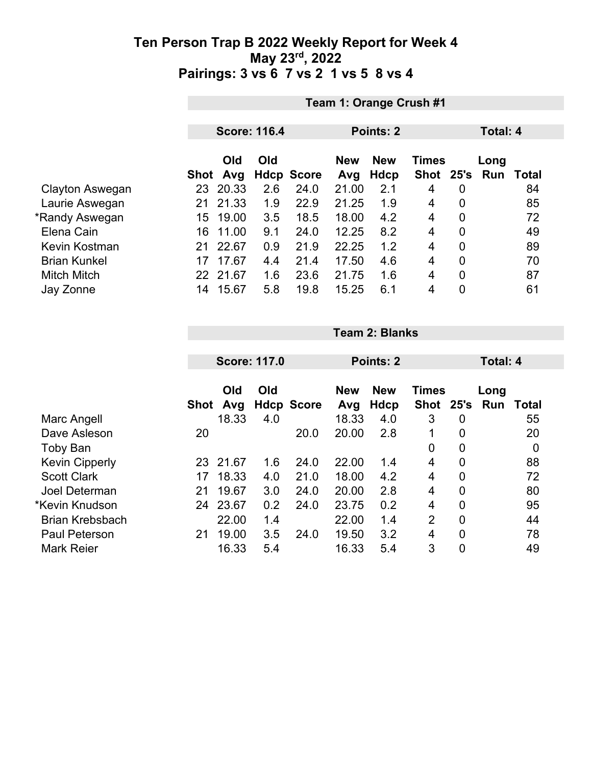|                     | Team 1: Orange Crush #1 |          |     |                   |                  |       |                |                |          |       |  |
|---------------------|-------------------------|----------|-----|-------------------|------------------|-------|----------------|----------------|----------|-------|--|
|                     |                         |          |     |                   |                  |       |                |                |          |       |  |
|                     | <b>Score: 116.4</b>     |          |     |                   | <b>Points: 2</b> |       |                |                | Total: 4 |       |  |
|                     | Old<br>Old              |          |     | <b>New</b>        | <b>New</b>       | Times |                | Long           |          |       |  |
|                     | Shot                    | Avg      |     | <b>Hdcp Score</b> | Avg              | Hdcp  | <b>Shot</b>    | 25's           | Run      | Total |  |
| Clayton Aswegan     | 23                      | 20.33    | 2.6 | 24.0              | 21.00            | 2.1   | 4              | 0              |          | 84    |  |
| Laurie Aswegan      | 21                      | 21.33    | 1.9 | 22.9              | 21.25            | 1.9   | 4              | 0              |          | 85    |  |
| *Randy Aswegan      | 15                      | 19.00    | 3.5 | 18.5              | 18.00            | 4.2   | 4              | 0              |          | 72    |  |
| Elena Cain          | 16                      | 11.00    | 9.1 | 24.0              | 12.25            | 8.2   | 4              | 0              |          | 49    |  |
| Kevin Kostman       | 21                      | 22.67    | 0.9 | 21.9              | 22.25            | 1.2   | 4              | $\mathbf 0$    |          | 89    |  |
| <b>Brian Kunkel</b> | 17                      | 17.67    | 4.4 | 21.4              | 17.50            | 4.6   | 4              | $\overline{0}$ |          | 70    |  |
| <b>Mitch Mitch</b>  |                         | 22 21.67 | 1.6 | 23.6              | 21.75            | 1.6   | $\overline{4}$ | $\overline{0}$ |          | 87    |  |
| Jay Zonne           | 14                      | 15.67    | 5.8 | 19.8              | 15.25            | 6.1   | 4              | 0              |          | 61    |  |

|                        |      |            | <b>Score: 117.0</b> |                   |                   | Points: 2                 |                             |                | Total: 4    |              |
|------------------------|------|------------|---------------------|-------------------|-------------------|---------------------------|-----------------------------|----------------|-------------|--------------|
|                        | Shot | Old<br>Avg | Old                 | <b>Hdcp Score</b> | <b>New</b><br>Avg | <b>New</b><br><b>Hdcp</b> | <b>Times</b><br><b>Shot</b> | 25's           | Long<br>Run | <b>Total</b> |
| Marc Angell            |      | 18.33      | 4.0                 |                   | 18.33             | 4.0                       | 3                           | 0              |             | 55           |
| Dave Asleson           | 20   |            |                     | 20.0              | 20.00             | 2.8                       | 1                           | 0              |             | 20           |
| <b>Toby Ban</b>        |      |            |                     |                   |                   |                           | 0                           | 0              |             | 0            |
| <b>Kevin Cipperly</b>  | 23   | 21.67      | 1.6                 | 24.0              | 22.00             | 1.4                       | $\overline{4}$              | $\mathbf 0$    |             | 88           |
| <b>Scott Clark</b>     | 17   | 18.33      | 4.0                 | 21.0              | 18.00             | 4.2                       | $\overline{4}$              | $\mathbf 0$    |             | 72           |
| Joel Determan          | 21   | 19.67      | 3.0                 | 24.0              | 20.00             | 2.8                       | 4                           | $\mathbf 0$    |             | 80           |
| *Kevin Knudson         | 24   | 23.67      | 0.2                 | 24.0              | 23.75             | 0.2                       | 4                           | $\mathbf 0$    |             | 95           |
| <b>Brian Krebsbach</b> |      | 22.00      | 1.4                 |                   | 22.00             | 1.4                       | $\overline{2}$              | $\overline{0}$ |             | 44           |
| <b>Paul Peterson</b>   | 21   | 19.00      | 3.5                 | 24.0              | 19.50             | 3.2                       | 4                           | $\overline{0}$ |             | 78           |
| <b>Mark Reier</b>      |      | 16.33      | 5.4                 |                   | 16.33             | 5.4                       | 3                           | 0              |             | 49           |

**Team 2: Blanks**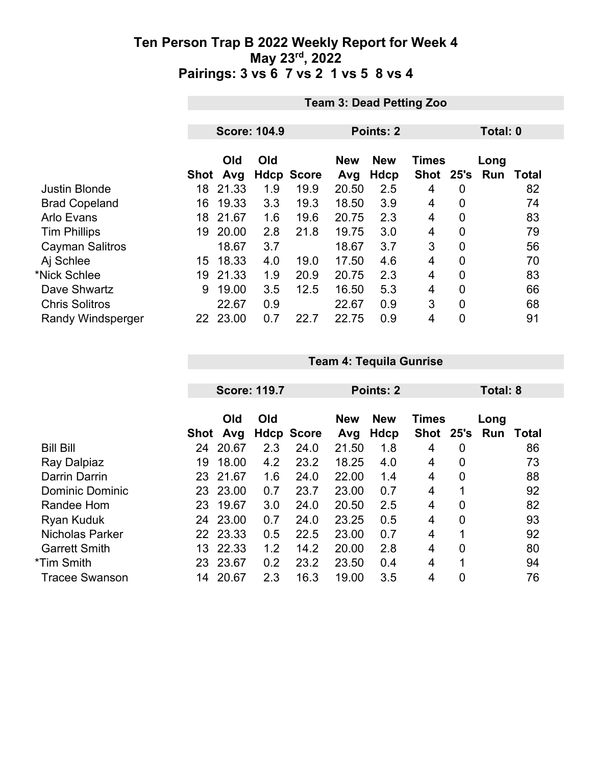|                        |      | <b>Team 3: Dead Petting Zoo</b> |     |                   |                   |                    |                           |                |             |              |  |
|------------------------|------|---------------------------------|-----|-------------------|-------------------|--------------------|---------------------------|----------------|-------------|--------------|--|
|                        |      |                                 |     |                   |                   |                    |                           |                |             |              |  |
|                        |      | <b>Score: 104.9</b>             |     |                   | Points: 2         |                    |                           |                | Total: 0    |              |  |
|                        | Shot | Old<br>Avg                      | Old | <b>Hdcp Score</b> | <b>New</b><br>Avg | <b>New</b><br>Hdcp | <b>Times</b><br>Shot 25's |                | Long<br>Run | <b>Total</b> |  |
| <b>Justin Blonde</b>   | 18   | 21.33                           | 1.9 | 19.9              | 20.50             | 2.5                | 4                         | $\mathbf 0$    |             | 82           |  |
| <b>Brad Copeland</b>   | 16   | 19.33                           | 3.3 | 19.3              | 18.50             | 3.9                | 4                         | $\overline{0}$ |             | 74           |  |
| <b>Arlo Evans</b>      | 18   | 21.67                           | 1.6 | 19.6              | 20.75             | 2.3                | 4                         | $\mathbf 0$    |             | 83           |  |
| <b>Tim Phillips</b>    | 19   | 20.00                           | 2.8 | 21.8              | 19.75             | 3.0                | 4                         | 0              |             | 79           |  |
| <b>Cayman Salitros</b> |      | 18.67                           | 3.7 |                   | 18.67             | 3.7                | 3                         | $\overline{0}$ |             | 56           |  |
| Aj Schlee              | 15   | 18.33                           | 4.0 | 19.0              | 17.50             | 4.6                | 4                         | 0              |             | 70           |  |
| *Nick Schlee           | 19   | 21.33                           | 1.9 | 20.9              | 20.75             | 2.3                | 4                         | $\mathbf 0$    |             | 83           |  |
| Dave Shwartz           | 9    | 19.00                           | 3.5 | 12.5              | 16.50             | 5.3                | 4                         | $\overline{0}$ |             | 66           |  |
| <b>Chris Solitros</b>  |      | 22.67                           | 0.9 |                   | 22.67             | 0.9                | 3                         | $\overline{0}$ |             | 68           |  |
| Randy Windsperger      |      | 22 23.00                        | 0.7 | 22.7              | 22.75             | 0.9                | 4                         | $\mathbf 0$    |             | 91           |  |

|                        |      | <b>Score: 119.7</b> |     |                   |            | <b>Points: 2</b> |              |                | Total: 8 |       |
|------------------------|------|---------------------|-----|-------------------|------------|------------------|--------------|----------------|----------|-------|
|                        |      |                     |     |                   |            |                  |              |                |          |       |
|                        |      | Old                 | Old |                   | <b>New</b> | <b>New</b>       | <b>Times</b> |                | Long     |       |
|                        | Shot | Avg                 |     | <b>Hdcp Score</b> | Avg        | Hdcp             | <b>Shot</b>  | 25's           | Run      | Total |
| <b>Bill Bill</b>       | 24   | 20.67               | 2.3 | 24.0              | 21.50      | 1.8              | 4            | 0              |          | 86    |
| Ray Dalpiaz            | 19   | 18.00               | 4.2 | 23.2              | 18.25      | 4.0              | 4            | $\mathbf 0$    |          | 73    |
| Darrin Darrin          | 23   | 21.67               | 1.6 | 24.0              | 22.00      | 1.4              | 4            | 0              |          | 88    |
| <b>Dominic Dominic</b> | 23   | 23.00               | 0.7 | 23.7              | 23.00      | 0.7              | 4            | 1              |          | 92    |
| Randee Hom             | 23   | 19.67               | 3.0 | 24.0              | 20.50      | 2.5              | 4            | $\overline{0}$ |          | 82    |
| Ryan Kuduk             | 24   | 23.00               | 0.7 | 24.0              | 23.25      | 0.5              | 4            | 0              |          | 93    |
| <b>Nicholas Parker</b> | 22   | 23.33               | 0.5 | 22.5              | 23.00      | 0.7              | 4            | 1              |          | 92    |
| <b>Garrett Smith</b>   | 13   | 22.33               | 1.2 | 14.2              | 20.00      | 2.8              | 4            | $\overline{0}$ |          | 80    |
| *Tim Smith             | 23   | 23.67               | 0.2 | 23.2              | 23.50      | 0.4              | 4            | 1              |          | 94    |
| <b>Tracee Swanson</b>  | 14   | 20.67               | 2.3 | 16.3              | 19.00      | 3.5              | 4            | 0              |          | 76    |

**Team 4: Tequila Gunrise**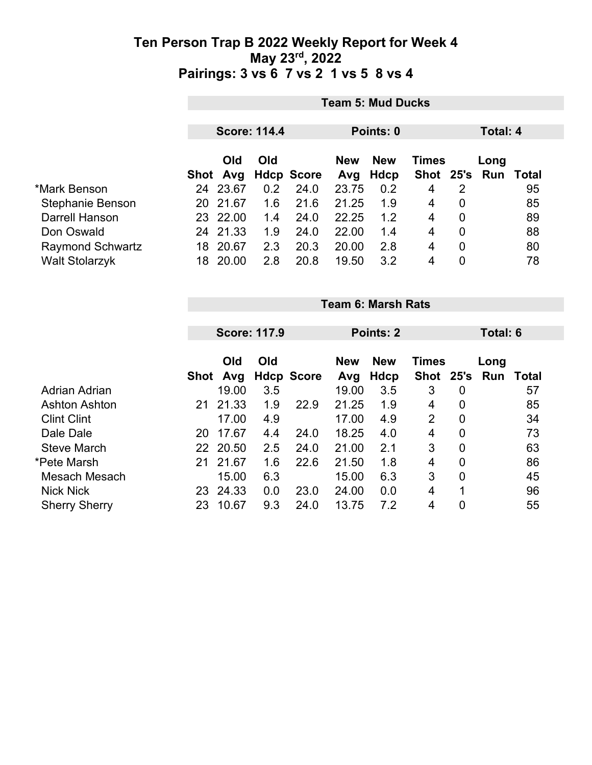|                         | <b>Team 5: Mud Ducks</b> |                      |     |                           |              |                    |              |                |                 |             |  |
|-------------------------|--------------------------|----------------------|-----|---------------------------|--------------|--------------------|--------------|----------------|-----------------|-------------|--|
|                         | <b>Score: 114.4</b>      |                      |     |                           | Points: 0    |                    |              |                | <b>Total: 4</b> |             |  |
|                         |                          | <b>Old</b>           | Old |                           | <b>New</b>   | <b>New</b>         | <b>Times</b> |                | Long            |             |  |
| *Mark Benson            |                          | Shot Avg<br>24 23.67 | 0.2 | <b>Hdcp Score</b><br>24.0 | Avg<br>23.75 | <b>Hdcp</b><br>0.2 | 4            | 2              | Shot 25's Run   | Total<br>95 |  |
| Stephanie Benson        |                          | 20 21.67             | 1.6 | 21.6                      | 21.25        | 1.9                | 4            | 0              |                 | 85          |  |
| Darrell Hanson          |                          | 23 22.00             | 1.4 | 24.0                      | 22.25        | 1.2                | 4            | 0              |                 | 89          |  |
| Don Oswald              | 24                       | 21.33                | 1.9 | 24.0                      | 22.00        | 1.4                | 4            | $\overline{0}$ |                 | 88          |  |
| <b>Raymond Schwartz</b> | 18                       | 20.67                | 2.3 | 20.3                      | 20.00        | 2.8                | 4            | 0              |                 | 80          |  |
| <b>Walt Stolarzyk</b>   | 18                       | 20.00                | 2.8 | 20.8                      | 19.50        | 3.2                | 4            | 0              |                 | 78          |  |

|                      |             | <b>Team 6: Marsh Rats</b> |     |                   |                  |                            |                |                  |      |       |  |
|----------------------|-------------|---------------------------|-----|-------------------|------------------|----------------------------|----------------|------------------|------|-------|--|
|                      |             |                           |     |                   |                  |                            |                |                  |      |       |  |
|                      |             | <b>Score: 117.9</b>       |     |                   | <b>Points: 2</b> | Total: 6                   |                |                  |      |       |  |
|                      |             | Old<br>Old                |     |                   | <b>New</b>       | <b>New</b><br><b>Times</b> |                |                  | Long |       |  |
|                      | <b>Shot</b> | Avg                       |     | <b>Hdcp Score</b> | Avg              | Hdcp                       | <b>Shot</b>    | 25's             | Run  | Total |  |
| Adrian Adrian        |             | 19.00                     | 3.5 |                   | 19.00            | 3.5                        | 3              | 0                |      | 57    |  |
| <b>Ashton Ashton</b> | 21          | 21.33                     | 1.9 | 22.9              | 21.25            | 1.9                        | 4              | $\boldsymbol{0}$ |      | 85    |  |
| <b>Clint Clint</b>   |             | 17.00                     | 4.9 |                   | 17.00            | 4.9                        | $\overline{2}$ | $\overline{0}$   |      | 34    |  |
| Dale Dale            | 20          | 17.67                     | 4.4 | 24.0              | 18.25            | 4.0                        | 4              | $\mathbf 0$      |      | 73    |  |
| <b>Steve March</b>   | 22          | 20.50                     | 2.5 | 24.0              | 21.00            | 2.1                        | 3              | $\overline{0}$   |      | 63    |  |
| *Pete Marsh          | 21          | 21.67                     | 1.6 | 22.6              | 21.50            | 1.8                        | 4              | $\boldsymbol{0}$ |      | 86    |  |
| Mesach Mesach        |             | 15.00                     | 6.3 |                   | 15.00            | 6.3                        | 3              | $\overline{0}$   |      | 45    |  |
| <b>Nick Nick</b>     | 23          | 24.33                     | 0.0 | 23.0              | 24.00            | 0.0                        | 4              | 1                |      | 96    |  |
| <b>Sherry Sherry</b> | 23          | 10.67                     | 9.3 | 24.0              | 13.75            | 7.2                        | 4              | 0                |      | 55    |  |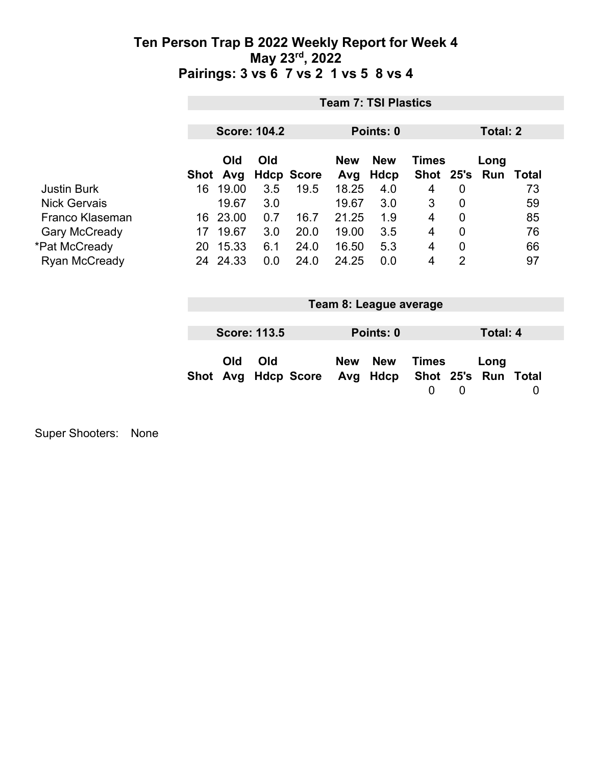|                      |          | <b>Team 7: TSI Plastics</b> |                     |                   |                   |                           |                                |                |                 |            |  |
|----------------------|----------|-----------------------------|---------------------|-------------------|-------------------|---------------------------|--------------------------------|----------------|-----------------|------------|--|
|                      |          |                             | <b>Score: 104.2</b> |                   |                   | Points: 0                 |                                |                | <b>Total: 2</b> |            |  |
|                      | Shot Avg | Old                         | Old                 | <b>Hdcp Score</b> | <b>New</b><br>Avg | <b>New</b><br><b>Hdcp</b> | <b>Times</b><br>Shot 25's      |                | Long<br>Run     | Total      |  |
| <b>Justin Burk</b>   | 16       | 19.00                       | 3.5                 | 19.5              | 18.25             | 4.0                       | 4                              | $\overline{0}$ |                 | 73         |  |
| <b>Nick Gervais</b>  |          | 19.67                       | 3.0                 |                   | 19.67             | 3.0                       | 3                              | $\mathbf 0$    |                 | 59         |  |
| Franco Klaseman      | 16       | 23.00                       | 0.7                 | 16.7              | 21.25             | 1.9                       | 4                              | $\overline{0}$ |                 | 85         |  |
| <b>Gary McCready</b> | 17       | 19.67                       | 3.0                 | 20.0              | 19.00             | 3.5                       | 4                              | $\mathbf 0$    |                 | 76         |  |
| *Pat McCready        |          | 20 15.33                    | 6.1                 | 24.0              | 16.50             | 5.3                       | 4                              | $\mathbf 0$    |                 | 66         |  |
| <b>Ryan McCready</b> |          | 24 24.33                    | 0.0                 | 24.0              | 24.25             | 0.0                       | 4                              | $\overline{2}$ |                 | 97         |  |
|                      |          |                             |                     |                   |                   | Team 8: League average    |                                |                |                 |            |  |
|                      |          |                             | <b>Score: 113.5</b> |                   |                   | Points: 0                 |                                |                | <b>Total: 4</b> |            |  |
|                      | Shot     | Old<br>Avg                  | Old                 | <b>Hdcp Score</b> | <b>New</b><br>Avg | <b>New</b><br>Hdcp        | <b>Times</b><br>Shot 25's<br>0 | 0              | Long<br>Run     | Total<br>0 |  |

Super Shooters: None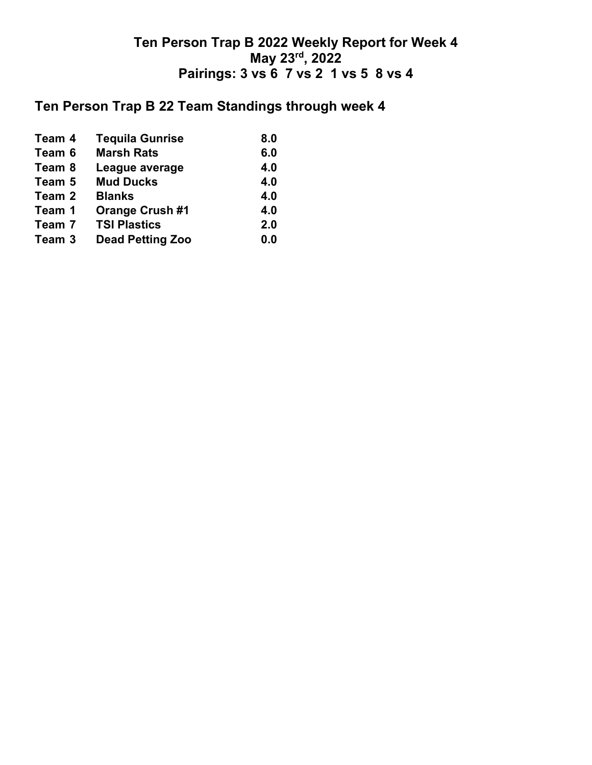## **Ten Person Trap B 22 Team Standings through week 4**

| Team 4 | <b>Tequila Gunrise</b>  | 8.0 |
|--------|-------------------------|-----|
| Team 6 | <b>Marsh Rats</b>       | 6.0 |
| Team 8 | League average          | 4.0 |
| Team 5 | <b>Mud Ducks</b>        | 4.0 |
| Team 2 | <b>Blanks</b>           | 4.0 |
| Team 1 | <b>Orange Crush #1</b>  | 4.0 |
| Team 7 | <b>TSI Plastics</b>     | 2.0 |
| Team 3 | <b>Dead Petting Zoo</b> | 0.0 |
|        |                         |     |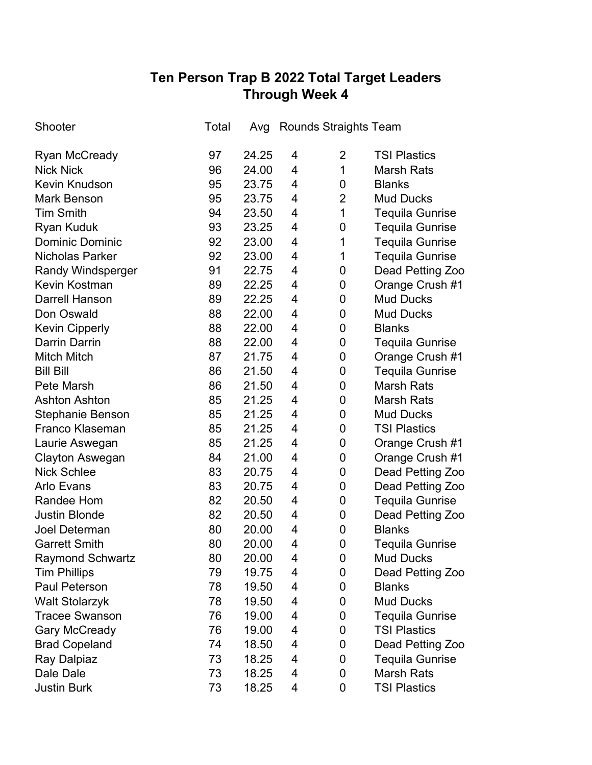# **Ten Person Trap B 2022 Total Target Leaders Through Week 4**

| Shooter                 | Total | Avg   |   | Rounds Straights Team |                        |
|-------------------------|-------|-------|---|-----------------------|------------------------|
| <b>Ryan McCready</b>    | 97    | 24.25 | 4 | 2                     | <b>TSI Plastics</b>    |
| <b>Nick Nick</b>        | 96    | 24.00 | 4 | 1                     | <b>Marsh Rats</b>      |
| <b>Kevin Knudson</b>    | 95    | 23.75 | 4 | 0                     | <b>Blanks</b>          |
| <b>Mark Benson</b>      | 95    | 23.75 | 4 | $\overline{2}$        | <b>Mud Ducks</b>       |
| <b>Tim Smith</b>        | 94    | 23.50 | 4 | 1                     | <b>Tequila Gunrise</b> |
| <b>Ryan Kuduk</b>       | 93    | 23.25 | 4 | 0                     | <b>Tequila Gunrise</b> |
| <b>Dominic Dominic</b>  | 92    | 23.00 | 4 | 1                     | <b>Tequila Gunrise</b> |
| <b>Nicholas Parker</b>  | 92    | 23.00 | 4 | 1                     | <b>Tequila Gunrise</b> |
| Randy Windsperger       | 91    | 22.75 | 4 | 0                     | Dead Petting Zoo       |
| <b>Kevin Kostman</b>    | 89    | 22.25 | 4 | 0                     | Orange Crush #1        |
| <b>Darrell Hanson</b>   | 89    | 22.25 | 4 | 0                     | <b>Mud Ducks</b>       |
| Don Oswald              | 88    | 22.00 | 4 | 0                     | <b>Mud Ducks</b>       |
| <b>Kevin Cipperly</b>   | 88    | 22.00 | 4 | 0                     | <b>Blanks</b>          |
| <b>Darrin Darrin</b>    | 88    | 22.00 | 4 | 0                     | <b>Tequila Gunrise</b> |
| <b>Mitch Mitch</b>      | 87    | 21.75 | 4 | 0                     | Orange Crush #1        |
| <b>Bill Bill</b>        | 86    | 21.50 | 4 | 0                     | <b>Tequila Gunrise</b> |
| Pete Marsh              | 86    | 21.50 | 4 | 0                     | <b>Marsh Rats</b>      |
| <b>Ashton Ashton</b>    | 85    | 21.25 | 4 | 0                     | <b>Marsh Rats</b>      |
| <b>Stephanie Benson</b> | 85    | 21.25 | 4 | 0                     | <b>Mud Ducks</b>       |
| <b>Franco Klaseman</b>  | 85    | 21.25 | 4 | 0                     | <b>TSI Plastics</b>    |
| Laurie Aswegan          | 85    | 21.25 | 4 | 0                     | Orange Crush #1        |
| <b>Clayton Aswegan</b>  | 84    | 21.00 | 4 | 0                     | Orange Crush #1        |
| <b>Nick Schlee</b>      | 83    | 20.75 | 4 | 0                     | Dead Petting Zoo       |
| <b>Arlo Evans</b>       | 83    | 20.75 | 4 | 0                     | Dead Petting Zoo       |
| Randee Hom              | 82    | 20.50 | 4 | 0                     | <b>Tequila Gunrise</b> |
| <b>Justin Blonde</b>    | 82    | 20.50 | 4 | 0                     | Dead Petting Zoo       |
| <b>Joel Determan</b>    | 80    | 20.00 | 4 | 0                     | <b>Blanks</b>          |
| <b>Garrett Smith</b>    | 80    | 20.00 | 4 | 0                     | <b>Tequila Gunrise</b> |
| <b>Raymond Schwartz</b> | 80    | 20.00 | 4 | 0                     | <b>Mud Ducks</b>       |
| <b>Tim Phillips</b>     | 79    | 19.75 | 4 | 0                     | Dead Petting Zoo       |
| <b>Paul Peterson</b>    | 78    | 19.50 | 4 | 0                     | <b>Blanks</b>          |
| <b>Walt Stolarzyk</b>   | 78    | 19.50 | 4 | 0                     | <b>Mud Ducks</b>       |
| <b>Tracee Swanson</b>   | 76    | 19.00 | 4 | 0                     | <b>Tequila Gunrise</b> |
| <b>Gary McCready</b>    | 76    | 19.00 | 4 | 0                     | <b>TSI Plastics</b>    |
| <b>Brad Copeland</b>    | 74    | 18.50 | 4 | 0                     | Dead Petting Zoo       |
| Ray Dalpiaz             | 73    | 18.25 | 4 | 0                     | <b>Tequila Gunrise</b> |
| Dale Dale               | 73    | 18.25 | 4 | 0                     | <b>Marsh Rats</b>      |
| <b>Justin Burk</b>      | 73    | 18.25 | 4 | 0                     | <b>TSI Plastics</b>    |